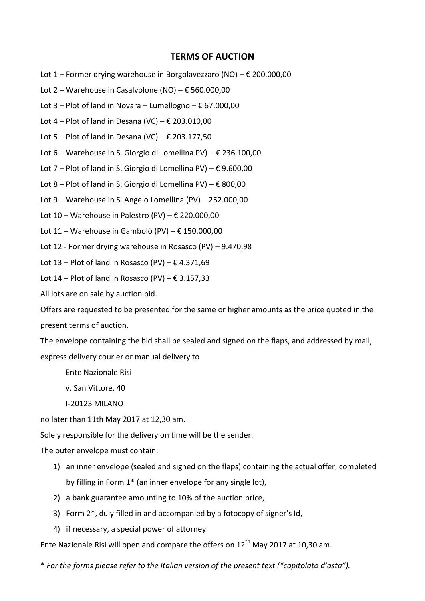## **TERMS OF AUCTION**

- Lot 1 Former drying warehouse in Borgolavezzaro (NO) € 200.000,00
- Lot 2 Warehouse in Casalvolone (NO) € 560.000,00
- Lot  $3$  Plot of land in Novara Lumellogno  $\epsilon$  67.000,00
- Lot 4 Plot of land in Desana (VC)  $\epsilon$  203.010,00
- Lot 5 Plot of land in Desana (VC)  $\epsilon$  203.177,50
- Lot 6 Warehouse in S. Giorgio di Lomellina PV) € 236.100,00
- Lot 7 Plot of land in S. Giorgio di Lomellina PV)  $\epsilon$  9.600,00
- Lot 8 Plot of land in S. Giorgio di Lomellina PV)  $\epsilon$  800,00
- Lot 9 Warehouse in S. Angelo Lomellina (PV) 252.000,00
- Lot 10 Warehouse in Palestro (PV)  $\epsilon$  220.000,00
- Lot 11 Warehouse in Gambolò (PV)  $\epsilon$  150.000,00
- Lot 12 Former drying warehouse in Rosasco (PV) 9.470,98
- Lot 13 Plot of land in Rosasco (PV)  $\epsilon$  4.371,69
- Lot 14 Plot of land in Rosasco (PV)  $\epsilon$  3.157,33
- All lots are on sale by auction bid.

Offers are requested to be presented for the same or higher amounts as the price quoted in the present terms of auction.

The envelope containing the bid shall be sealed and signed on the flaps, and addressed by mail, express delivery courier or manual delivery to

- Ente Nazionale Risi
- v. San Vittore, 40
- I-20123 MILANO

no later than 11th May 2017 at 12,30 am.

Solely responsible for the delivery on time will be the sender.

The outer envelope must contain:

- 1) an inner envelope (sealed and signed on the flaps) containing the actual offer, completed by filling in Form 1\* (an inner envelope for any single lot),
- 2) a bank guarantee amounting to 10% of the auction price,
- 3) Form 2\*, duly filled in and accompanied by a fotocopy of signer's Id,
- 4) if necessary, a special power of attorney.

Ente Nazionale Risi will open and compare the offers on  $12^{th}$  May 2017 at 10,30 am.

\* *For the forms please refer to the Italian version of the present text ("capitolato d'asta").*